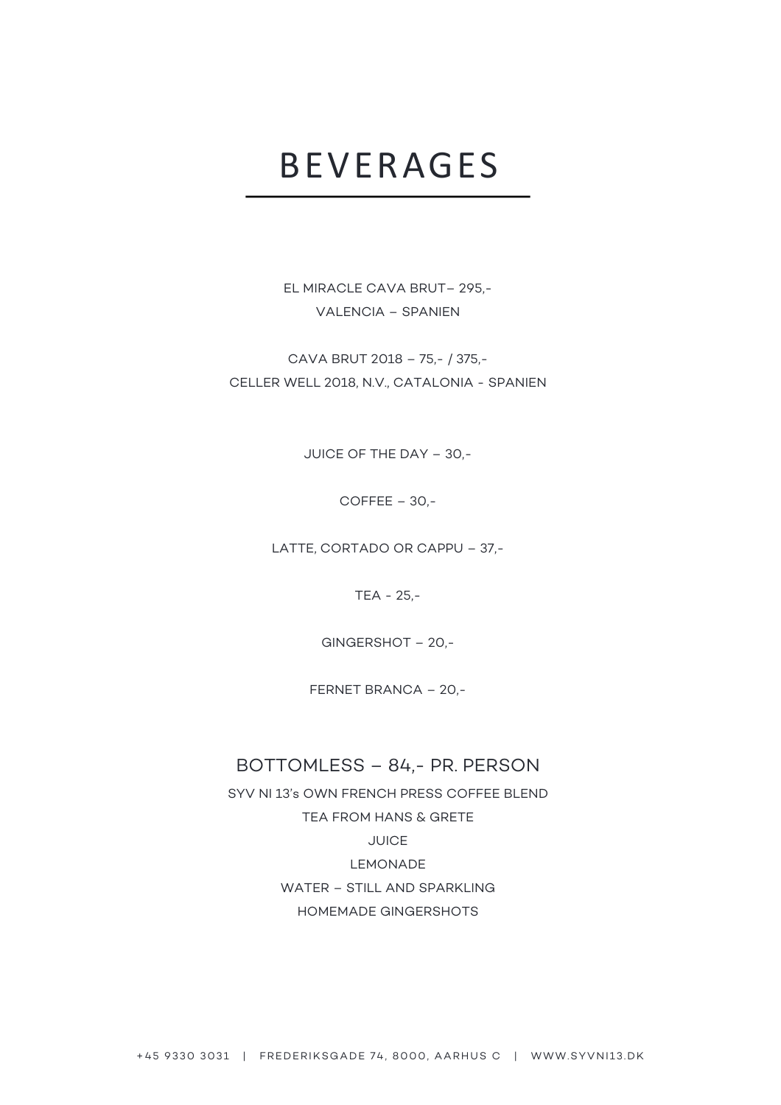## BEVERAGES

EL MIRACLE CAVA BRUT– 295,- VALENCIA – SPANIEN

CAVA BRUT 2018 – 75,- / 375,- CELLER WELL 2018, N.V., CATALONIA - SPANIEN

JUICE OF THE DAY – 30,-

COFFEE – 30,-

LATTE, CORTADO OR CAPPU – 37,-

TEA - 25,-

GINGERSHOT – 20,-

FERNET BRANCA – 20,-

### BOTTOMLESS – 84,- PR. PERSON

SYV NI 13's OWN FRENCH PRESS COFFEE BLEND TEA FROM HANS & GRETE **JUICE** LEMONADE WATER – STILL AND SPARKLING HOMEMADE GINGERSHOTS